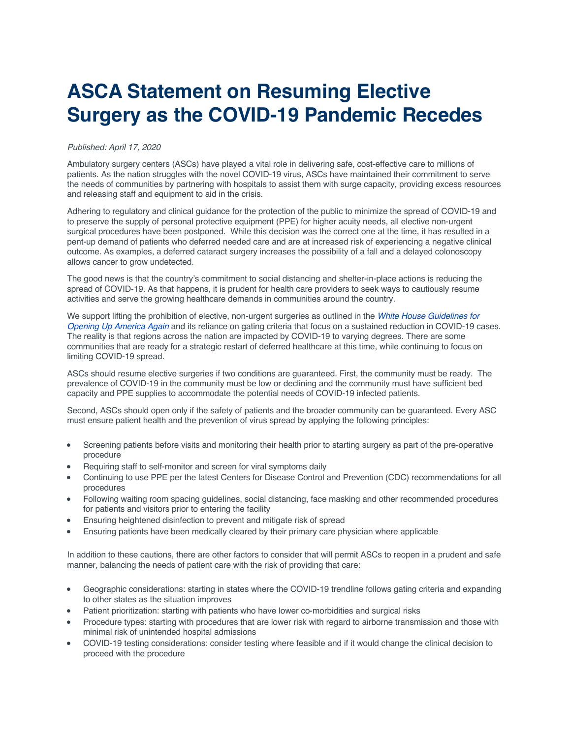## **ASCA Statement on Resuming Elective Surgery as the COVID-19 Pandemic Recedes**

## *Published: April 17, 2020*

Ambulatory surgery centers (ASCs) have played a vital role in delivering safe, cost-effective care to millions of patients. As the nation struggles with the novel COVID-19 virus, ASCs have maintained their commitment to serve the needs of communities by partnering with hospitals to assist them with surge capacity, providing excess resources and releasing staff and equipment to aid in the crisis.

Adhering to regulatory and clinical guidance for the protection of the public to minimize the spread of COVID-19 and to preserve the supply of personal protective equipment (PPE) for higher acuity needs, all elective non-urgent surgical procedures have been postponed. While this decision was the correct one at the time, it has resulted in a pent-up demand of patients who deferred needed care and are at increased risk of experiencing a negative clinical outcome. As examples, a deferred cataract surgery increases the possibility of a fall and a delayed colonoscopy allows cancer to grow undetected.

The good news is that the country's commitment to social distancing and shelter-in-place actions is reducing the spread of COVID-19. As that happens, it is prudent for health care providers to seek ways to cautiously resume activities and serve the growing healthcare demands in communities around the country.

We support lifting the prohibition of elective, non-urgent surgeries as outlined in the *White House Guidelines for Opening Up America Again* and its reliance on gating criteria that focus on a sustained reduction in COVID-19 cases. The reality is that regions across the nation are impacted by COVID-19 to varying degrees. There are some communities that are ready for a strategic restart of deferred healthcare at this time, while continuing to focus on limiting COVID-19 spread.

ASCs should resume elective surgeries if two conditions are guaranteed. First, the community must be ready. The prevalence of COVID-19 in the community must be low or declining and the community must have sufficient bed capacity and PPE supplies to accommodate the potential needs of COVID-19 infected patients.

Second, ASCs should open only if the safety of patients and the broader community can be guaranteed. Every ASC must ensure patient health and the prevention of virus spread by applying the following principles:

- Screening patients before visits and monitoring their health prior to starting surgery as part of the pre-operative procedure
- Requiring staff to self-monitor and screen for viral symptoms daily
- Continuing to use PPE per the latest Centers for Disease Control and Prevention (CDC) recommendations for all procedures
- Following waiting room spacing guidelines, social distancing, face masking and other recommended procedures for patients and visitors prior to entering the facility
- Ensuring heightened disinfection to prevent and mitigate risk of spread
- Ensuring patients have been medically cleared by their primary care physician where applicable

In addition to these cautions, there are other factors to consider that will permit ASCs to reopen in a prudent and safe manner, balancing the needs of patient care with the risk of providing that care:

- Geographic considerations: starting in states where the COVID-19 trendline follows gating criteria and expanding to other states as the situation improves
- Patient prioritization: starting with patients who have lower co-morbidities and surgical risks
- Procedure types: starting with procedures that are lower risk with regard to airborne transmission and those with minimal risk of unintended hospital admissions
- COVID-19 testing considerations: consider testing where feasible and if it would change the clinical decision to proceed with the procedure